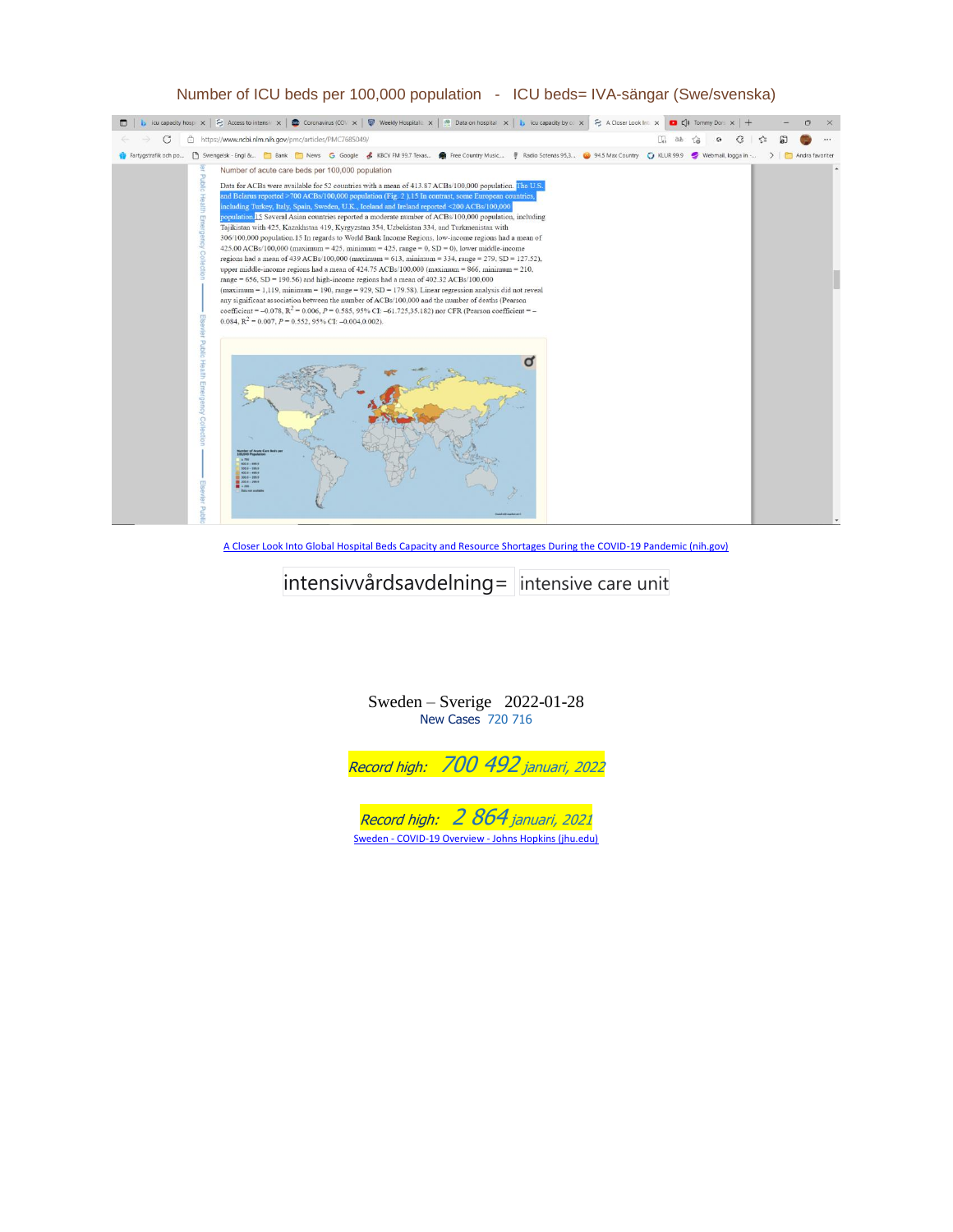## Number of ICU beds per 100,000 population - ICU beds= IVA-sängar (Swe/svenska)



[A Closer Look Into Global Hospital Beds Capacity and Resource Shortages During the COVID-19 Pandemic \(nih.gov\)](https://www.ncbi.nlm.nih.gov/pmc/articles/PMC7685049/)

## intensivvårdsavdelning= intensive care unit

Sweden – Sverige 2022-01-28 New Cases 720 716



Sweden - COVID-19 Overview - [Johns Hopkins \(jhu.edu\)](https://coronavirus.jhu.edu/region/sweden)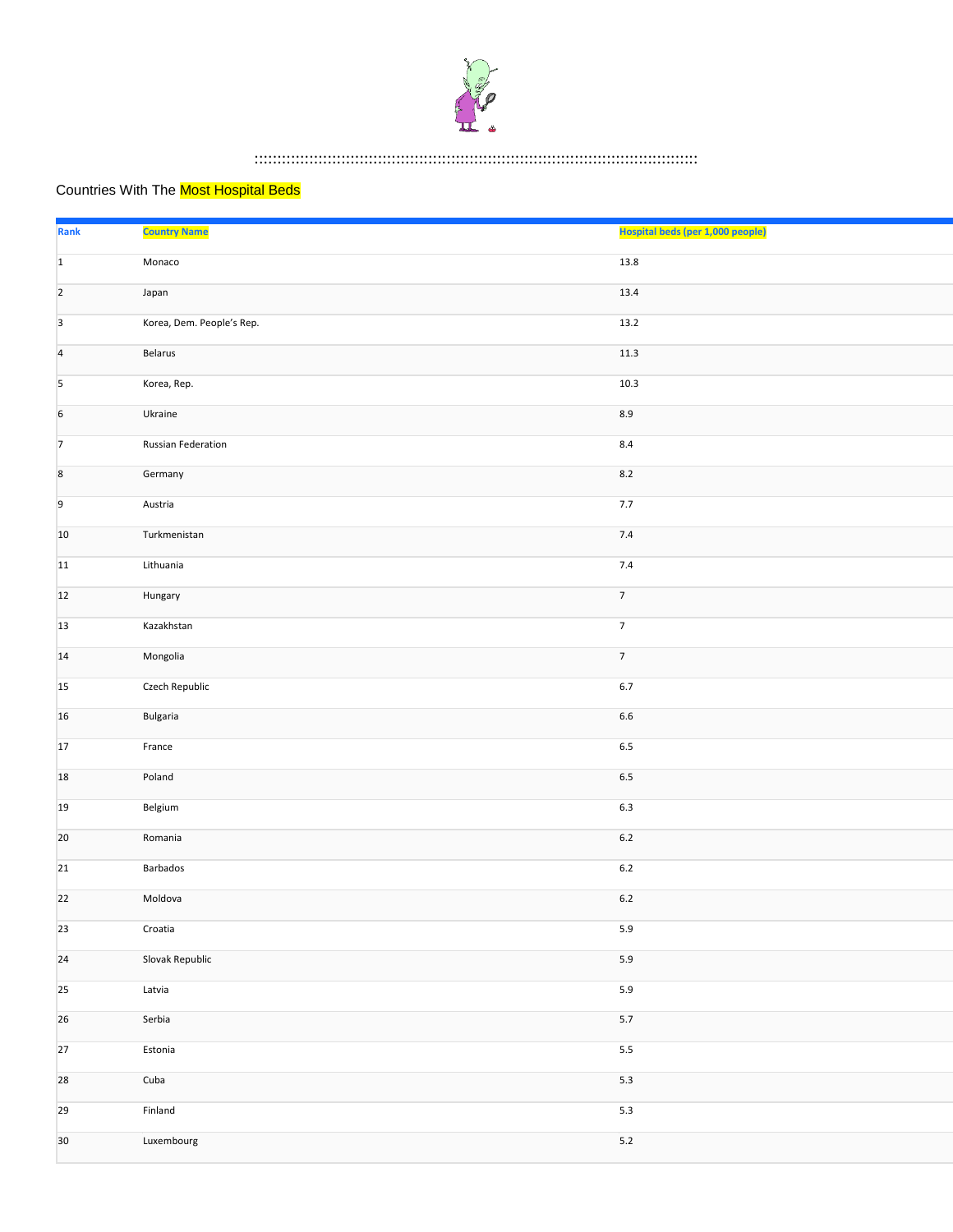

## :::::::::::::::::::::::::::::::::::::::::::::::::::::::::::::::::::::::::::::::::::::::::::::::::

## Countries With The **Most Hospital Beds**

| <b>Rank</b>              | <b>Country Name</b>       | Hospital beds (per 1,000 people) |
|--------------------------|---------------------------|----------------------------------|
| $1\,$                    | Monaco                    | 13.8                             |
| $\overline{2}$           | Japan                     | 13.4                             |
| $\overline{\mathbf{3}}$  | Korea, Dem. People's Rep. | 13.2                             |
| $\overline{4}$           | Belarus                   | $11.3\,$                         |
| $\overline{\phantom{a}}$ | Korea, Rep.               | 10.3                             |
| $\sqrt{6}$               | Ukraine                   | $8.9\,$                          |
| $\overline{7}$           | <b>Russian Federation</b> | $8.4\,$                          |
| $\bf 8$                  | Germany                   | $8.2$                            |
| $\overline{9}$           | Austria                   | $7.7\,$                          |
| 10                       | Turkmenistan              | $7.4\,$                          |
| 11                       | Lithuania                 | 7.4                              |
| 12                       | Hungary                   | $\overline{7}$                   |
| 13                       | Kazakhstan                | $\overline{7}$                   |
| 14                       | Mongolia                  | $\overline{7}$                   |
| 15                       | Czech Republic            | $6.7\,$                          |
| 16                       | Bulgaria                  | $6.6\,$                          |
| 17                       | France                    | $6.5\,$                          |
| 18                       | Poland                    | $6.5\,$                          |
| 19                       | Belgium                   | $6.3\,$                          |
| 20                       | Romania                   | $6.2\,$                          |
| 21                       | Barbados                  | $6.2\,$                          |
| 22                       | Moldova                   | $6.2\,$                          |
| 23                       | Croatia                   | $5.9\,$                          |
| ${\bf 24}$               | Slovak Republic           | $5.9$                            |
| 25                       | Latvia                    | $5.9\,$                          |
| 26                       | Serbia                    | $5.7\,$                          |
| $27$                     | Estonia                   | $5.5\,$                          |
| 28                       | Cuba                      | $5.3$                            |
| 29                       | Finland                   | $5.3\,$                          |
| 30                       | Luxembourg                | $5.2$                            |